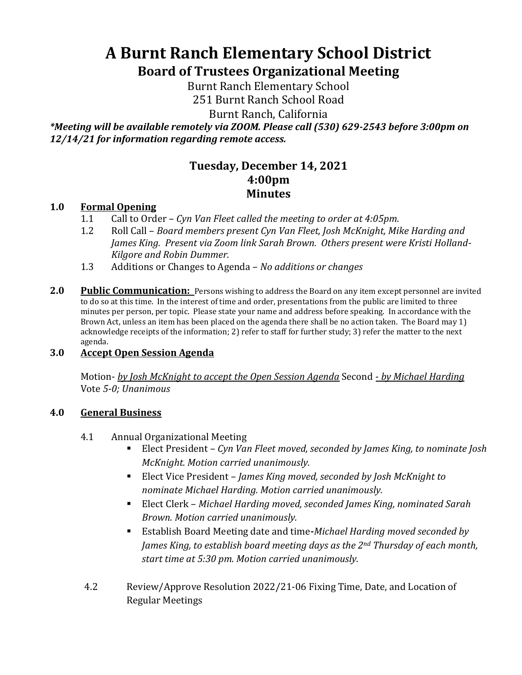# **A Burnt Ranch Elementary School District Board of Trustees Organizational Meeting**

Burnt Ranch Elementary School 251 Burnt Ranch School Road

Burnt Ranch, California

*\*Meeting will be available remotely via ZOOM. Please call (530) 629-2543 before 3:00pm on 12/14/21 for information regarding remote access.*

# **Tuesday, December 14, 2021 4:00pm Minutes**

## **1.0 Formal Opening**

- 1.1 Call to Order *Cyn Van Fleet called the meeting to order at 4:05pm.*
- 1.2 Roll Call *Board members present Cyn Van Fleet, Josh McKnight, Mike Harding and James King. Present via Zoom link Sarah Brown. Others present were Kristi Holland-Kilgore and Robin Dummer.*
- 1.3 Additions or Changes to Agenda *No additions or changes*
- **2.0 Public Communication:** Persons wishing to address the Board on any item except personnel are invited to do so at this time. In the interest of time and order, presentations from the public are limited to three minutes per person, per topic. Please state your name and address before speaking. In accordance with the Brown Act, unless an item has been placed on the agenda there shall be no action taken. The Board may 1) acknowledge receipts of the information; 2) refer to staff for further study; 3) refer the matter to the next agenda.

#### **3.0 Accept Open Session Agenda**

Motion- *by Josh McKnight to accept the Open Session Agenda* Second - *by Michael Harding* Vote *5-0; Unanimous*

#### **4.0 General Business**

- 4.1 Annual Organizational Meeting
	- Elect President *Cyn Van Fleet moved, seconded by James King, to nominate Josh McKnight. Motion carried unanimously.*
	- Elect Vice President *James King moved, seconded by Josh McKnight to nominate Michael Harding. Motion carried unanimously.*
	- Elect Clerk *Michael Harding moved, seconded James King, nominated Sarah Brown. Motion carried unanimously.*
	- Establish Board Meeting date and time**-***Michael Harding moved seconded by James King, to establish board meeting days as the 2nd Thursday of each month, start time at 5:30 pm. Motion carried unanimously.*
- 4.2 Review/Approve Resolution 2022/21-06 Fixing Time, Date, and Location of Regular Meetings